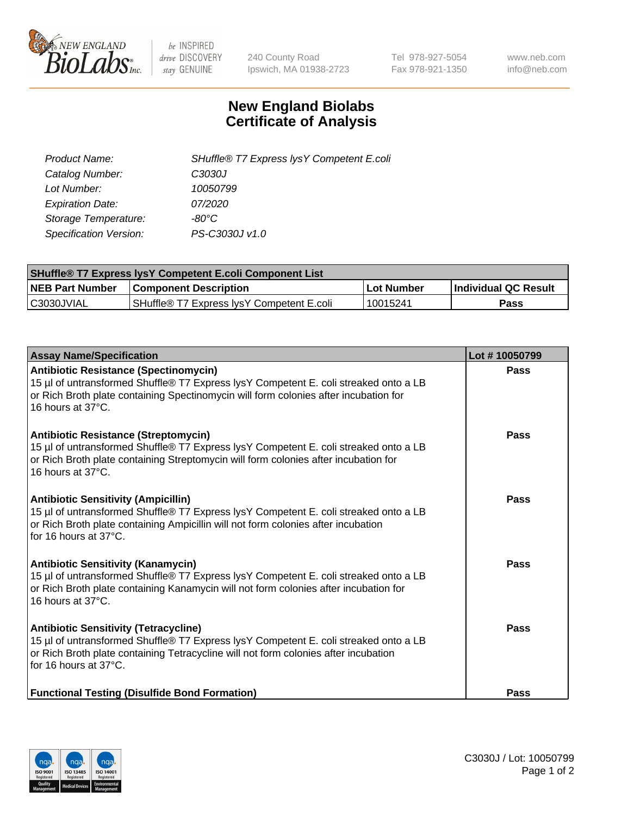

 $be$  INSPIRED drive DISCOVERY stay GENUINE

240 County Road Ipswich, MA 01938-2723 Tel 978-927-5054 Fax 978-921-1350 www.neb.com info@neb.com

## **New England Biolabs Certificate of Analysis**

| Product Name:           | SHuffle® T7 Express lysY Competent E.coli |
|-------------------------|-------------------------------------------|
| Catalog Number:         | C3030J                                    |
| Lot Number:             | 10050799                                  |
| <b>Expiration Date:</b> | 07/2020                                   |
| Storage Temperature:    | -80°C                                     |
| Specification Version:  | PS-C3030J v1.0                            |

| <b>SHuffle® T7 Express lysY Competent E.coli Component List</b> |                                           |                   |                             |  |
|-----------------------------------------------------------------|-------------------------------------------|-------------------|-----------------------------|--|
| <b>NEB Part Number</b>                                          | <b>Component Description</b>              | <b>Lot Number</b> | <b>Individual QC Result</b> |  |
| C3030JVIAL                                                      | SHuffle® T7 Express IysY Competent E.coli | 10015241          | Pass                        |  |

| <b>Assay Name/Specification</b>                                                                                                                                                                                                                          | Lot #10050799 |
|----------------------------------------------------------------------------------------------------------------------------------------------------------------------------------------------------------------------------------------------------------|---------------|
| <b>Antibiotic Resistance (Spectinomycin)</b><br>15 µl of untransformed Shuffle® T7 Express lysY Competent E. coli streaked onto a LB<br>or Rich Broth plate containing Spectinomycin will form colonies after incubation for<br>16 hours at 37°C.        | Pass          |
| <b>Antibiotic Resistance (Streptomycin)</b><br>15 µl of untransformed Shuffle® T7 Express lysY Competent E. coli streaked onto a LB<br>or Rich Broth plate containing Streptomycin will form colonies after incubation for<br>16 hours at 37°C.          | Pass          |
| <b>Antibiotic Sensitivity (Ampicillin)</b><br>15 µl of untransformed Shuffle® T7 Express lysY Competent E. coli streaked onto a LB<br>or Rich Broth plate containing Ampicillin will not form colonies after incubation<br>for 16 hours at 37°C.         | Pass          |
| <b>Antibiotic Sensitivity (Kanamycin)</b><br>15 µl of untransformed Shuffle® T7 Express lysY Competent E. coli streaked onto a LB<br>or Rich Broth plate containing Kanamycin will not form colonies after incubation for<br>16 hours at $37^{\circ}$ C. | Pass          |
| <b>Antibiotic Sensitivity (Tetracycline)</b><br>15 µl of untransformed Shuffle® T7 Express lysY Competent E. coli streaked onto a LB<br>or Rich Broth plate containing Tetracycline will not form colonies after incubation<br>for 16 hours at 37°C.     | Pass          |
| <b>Functional Testing (Disulfide Bond Formation)</b>                                                                                                                                                                                                     | Pass          |